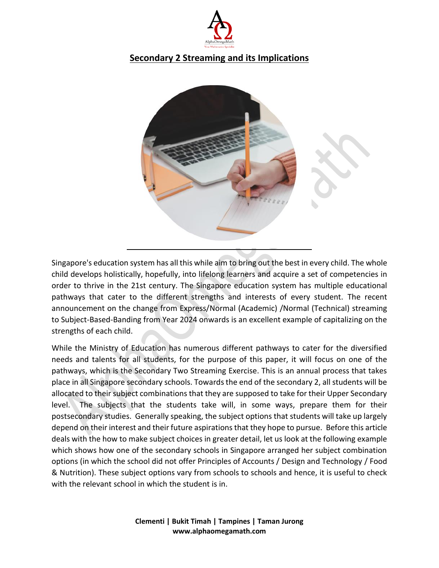

# **Secondary 2 Streaming and its Implications**



Singapore's education system has all this while aim to bring out the best in every child. The whole child develops holistically, hopefully, into lifelong learners and acquire a set of competencies in order to thrive in the 21st century. The Singapore education system has multiple educational pathways that cater to the different strengths and interests of every student. The recent announcement on the change from Express/Normal (Academic) /Normal (Technical) streaming to Subject-Based-Banding from Year 2024 onwards is an excellent example of capitalizing on the strengths of each child.

While the Ministry of Education has numerous different pathways to cater for the diversified needs and talents for all students, for the purpose of this paper, it will focus on one of the pathways, which is the Secondary Two Streaming Exercise. This is an annual process that takes place in all Singapore secondary schools. Towards the end of the secondary 2, all students will be allocated to their subject combinations that they are supposed to take for their Upper Secondary level. The subjects that the students take will, in some ways, prepare them for their postsecondary studies. Generally speaking, the subject options that students will take up largely depend on their interest and their future aspirations that they hope to pursue. Before this article deals with the how to make subject choices in greater detail, let us look at the following example which shows how one of the secondary schools in Singapore arranged her subject combination options (in which the school did not offer Principles of Accounts / Design and Technology / Food & Nutrition). These subject options vary from schools to schools and hence, it is useful to check with the relevant school in which the student is in.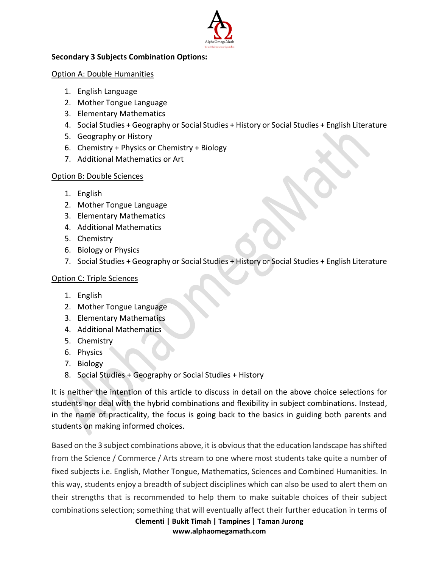

## **Secondary 3 Subjects Combination Options:**

### Option A: Double Humanities

- 1. English Language
- 2. Mother Tongue Language
- 3. Elementary Mathematics
- 4. Social Studies + Geography or Social Studies + History or Social Studies + English Literature
- 5. Geography or History
- 6. Chemistry + Physics or Chemistry + Biology
- 7. Additional Mathematics or Art

## Option B: Double Sciences

- 1. English
- 2. Mother Tongue Language
- 3. Elementary Mathematics
- 4. Additional Mathematics
- 5. Chemistry
- 6. Biology or Physics
- 7. Social Studies + Geography or Social Studies + History or Social Studies + English Literature

## Option C: Triple Sciences

- 1. English
- 2. Mother Tongue Language
- 3. Elementary Mathematics
- 4. Additional Mathematics
- 5. Chemistry
- 6. Physics
- 7. Biology
- 8. Social Studies + Geography or Social Studies + History

It is neither the intention of this article to discuss in detail on the above choice selections for students nor deal with the hybrid combinations and flexibility in subject combinations. Instead, in the name of practicality, the focus is going back to the basics in guiding both parents and students on making informed choices.

Based on the 3 subject combinations above, it is obvious that the education landscape has shifted from the Science / Commerce / Arts stream to one where most students take quite a number of fixed subjects i.e. English, Mother Tongue, Mathematics, Sciences and Combined Humanities. In this way, students enjoy a breadth of subject disciplines which can also be used to alert them on their strengths that is recommended to help them to make suitable choices of their subject combinations selection; something that will eventually affect their further education in terms of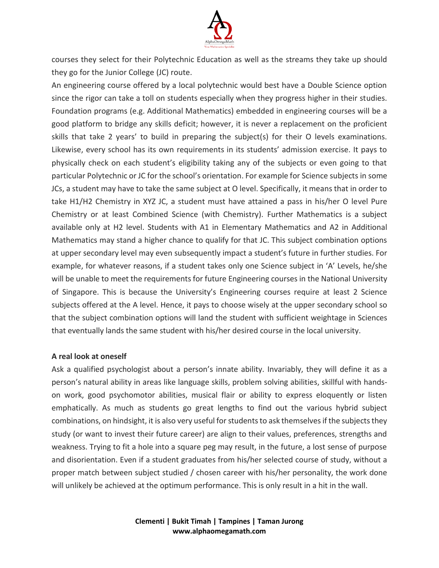

courses they select for their Polytechnic Education as well as the streams they take up should they go for the Junior College (JC) route.

An engineering course offered by a local polytechnic would best have a Double Science option since the rigor can take a toll on students especially when they progress higher in their studies. Foundation programs (e.g. Additional Mathematics) embedded in engineering courses will be a good platform to bridge any skills deficit; however, it is never a replacement on the proficient skills that take 2 years' to build in preparing the subject(s) for their O levels examinations. Likewise, every school has its own requirements in its students' admission exercise. It pays to physically check on each student's eligibility taking any of the subjects or even going to that particular Polytechnic or JC for the school's orientation. For example for Science subjects in some JCs, a student may have to take the same subject at O level. Specifically, it means that in order to take H1/H2 Chemistry in XYZ JC, a student must have attained a pass in his/her O level Pure Chemistry or at least Combined Science (with Chemistry). Further Mathematics is a subject available only at H2 level. Students with A1 in Elementary Mathematics and A2 in Additional Mathematics may stand a higher chance to qualify for that JC. This subject combination options at upper secondary level may even subsequently impact a student's future in further studies. For example, for whatever reasons, if a student takes only one Science subject in 'A' Levels, he/she will be unable to meet the requirements for future Engineering courses in the National University of Singapore. This is because the University's Engineering courses require at least 2 Science subjects offered at the A level. Hence, it pays to choose wisely at the upper secondary school so that the subject combination options will land the student with sufficient weightage in Sciences that eventually lands the same student with his/her desired course in the local university.

#### **A real look at oneself**

Ask a qualified psychologist about a person's innate ability. Invariably, they will define it as a person's natural ability in areas like language skills, problem solving abilities, skillful with handson work, good psychomotor abilities, musical flair or ability to express eloquently or listen emphatically. As much as students go great lengths to find out the various hybrid subject combinations, on hindsight, it is also very useful for students to ask themselves if the subjects they study (or want to invest their future career) are align to their values, preferences, strengths and weakness. Trying to fit a hole into a square peg may result, in the future, a lost sense of purpose and disorientation. Even if a student graduates from his/her selected course of study, without a proper match between subject studied / chosen career with his/her personality, the work done will unlikely be achieved at the optimum performance. This is only result in a hit in the wall.